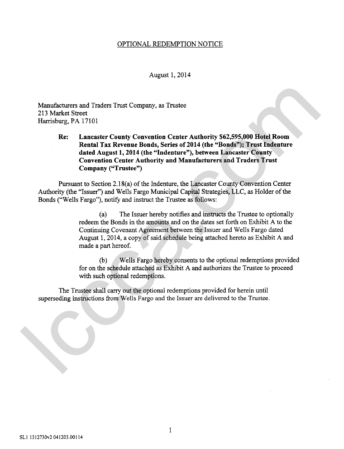## OPTIONAL REDEMPTION NOTICE

August 1, 2014

Manufacturers and Traders Trust Company, as Trustee 213 Market Street Harrisburg, PA 17101

**Re: Lancaster County Convention Center Authority \$62,595,000 Hotel Room Rental Tax Revenue Bonds, Series of 2014 (the "Bonds"); Trust Indenture dated August 1,2014 (the "Indenture"), between Lancaster County Convention Center Authority and Manufacturers and Traders Trust Company ("Trustee")** Manufacturers and Traders Trust Company, as Trustee<br>
213 Market Street<br>
Harrisburg, PA 17101<br>
Rec. Lancaster County Convention Center Authority \$62,595,000 Hotel Room<br>
Recala Tax Revenue Bonds, Series of 2014 (the "Bonds"

Pursuant to Section 2.1 8(a) of the Indenture, the Lancaster County Convention Center Authority (the "Issuer") and Wells Fargo Municipal Capital Strategies, LLC, as Holder of the Bonds ("Wells Fargo"), notify and instruct the Trustee as follows:

> (a) The Issuer hereby notifies and instructs the Trustee to optionally redeem the Bonds in the amounts and on the dates set forth on Exhibit A to the Continuing Covenant Agreement between the Issuer and Wells Fargo dated August 1,2014, a copy of said schedule being attached hereto as Exhibit A and made a part hereof.

(b) Wells Fargo hereby consents to the optional redemptions provided for on the schedule attached as Exhibit A and authorizes the Trustee to proceed with such optional redemptions.

The Trustee shall carry out the optional redemptions provided for herein until superseding instructions from Wells Fargo and the Issuer are delivered to the Trustee.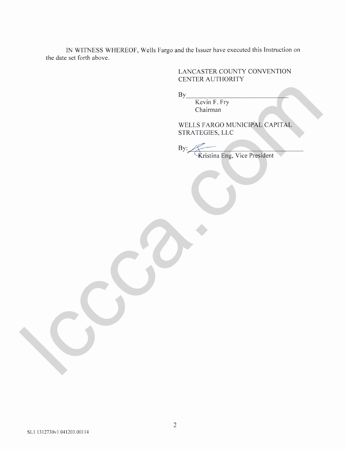IN WITNESS WHEREOF, Wells Fargo and the Issuer have executed this Instruction on the date set forth above.

## LANCASTER COUNTY CONVENTION CENTER AUTHORITY

By \_\_\_

Kevin F. Fry Chairman

WELLS FARGO MUNICIPAL CAPITAL STRATEGIES, LLC

 $By:$ Kristina Eng, Vice President By Evenif P. Fry<br>Chairman<br>WELLS FARGO MUNICIPAL CAPITAL<br>STRATEGIES, LLC<br>Pry Kristina Pre, Vice President<br>Artistina Pre, Vice President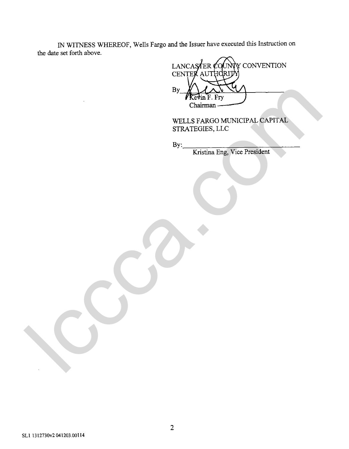IN WITNESS WHEREOF, Wells Fargo and the Issuer have executed this Instruction on the date set forth above.

Y CONVENTION LANCAS TER C( **CENTE** AUTHC By Redistrict Marine Property Continuum Control CAPITAL CAPITAL STRATEGIES, I.L.C.

WELLS FARGO MUNICIPAL CAPITAL STRATEGIES, LLC

By:

Kristina Eng, Vice President